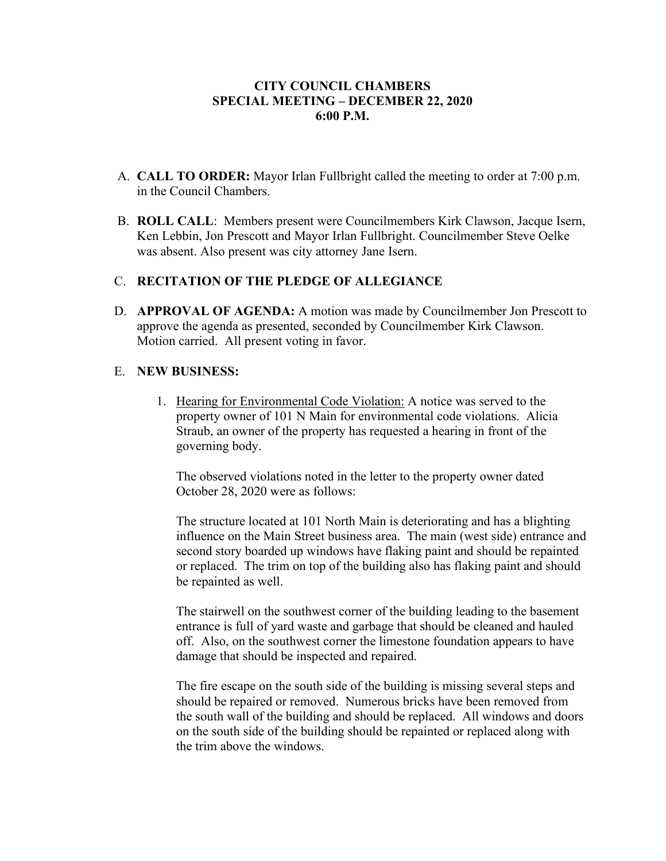#### **CITY COUNCIL CHAMBERS SPECIAL MEETING – DECEMBER 22, 2020 6:00 P.M.**

- A. **CALL TO ORDER:** Mayor Irlan Fullbright called the meeting to order at 7:00 p.m. in the Council Chambers.
- B. **ROLL CALL**: Members present were Councilmembers Kirk Clawson, Jacque Isern, Ken Lebbin, Jon Prescott and Mayor Irlan Fullbright. Councilmember Steve Oelke was absent. Also present was city attorney Jane Isern.

## C. **RECITATION OF THE PLEDGE OF ALLEGIANCE**

D. **APPROVAL OF AGENDA:** A motion was made by Councilmember Jon Prescott to approve the agenda as presented, seconded by Councilmember Kirk Clawson. Motion carried. All present voting in favor.

## E. **NEW BUSINESS:**

1. Hearing for Environmental Code Violation: A notice was served to the property owner of 101 N Main for environmental code violations. Alicia Straub, an owner of the property has requested a hearing in front of the governing body.

The observed violations noted in the letter to the property owner dated October 28, 2020 were as follows:

The structure located at 101 North Main is deteriorating and has a blighting influence on the Main Street business area. The main (west side) entrance and second story boarded up windows have flaking paint and should be repainted or replaced. The trim on top of the building also has flaking paint and should be repainted as well.

The stairwell on the southwest corner of the building leading to the basement entrance is full of yard waste and garbage that should be cleaned and hauled off. Also, on the southwest corner the limestone foundation appears to have damage that should be inspected and repaired.

The fire escape on the south side of the building is missing several steps and should be repaired or removed. Numerous bricks have been removed from the south wall of the building and should be replaced. All windows and doors on the south side of the building should be repainted or replaced along with the trim above the windows.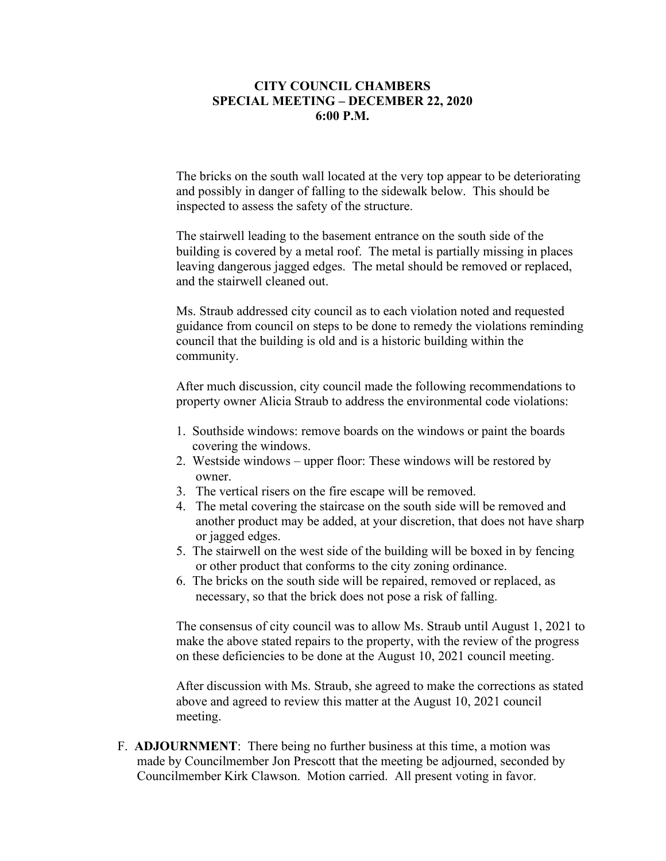#### **CITY COUNCIL CHAMBERS SPECIAL MEETING – DECEMBER 22, 2020 6:00 P.M.**

The bricks on the south wall located at the very top appear to be deteriorating and possibly in danger of falling to the sidewalk below. This should be inspected to assess the safety of the structure.

The stairwell leading to the basement entrance on the south side of the building is covered by a metal roof. The metal is partially missing in places leaving dangerous jagged edges. The metal should be removed or replaced, and the stairwell cleaned out.

Ms. Straub addressed city council as to each violation noted and requested guidance from council on steps to be done to remedy the violations reminding council that the building is old and is a historic building within the community.

After much discussion, city council made the following recommendations to property owner Alicia Straub to address the environmental code violations:

- 1. Southside windows: remove boards on the windows or paint the boards covering the windows.
- 2. Westside windows upper floor: These windows will be restored by owner.
- 3. The vertical risers on the fire escape will be removed.
- 4. The metal covering the staircase on the south side will be removed and another product may be added, at your discretion, that does not have sharp or jagged edges.
- 5. The stairwell on the west side of the building will be boxed in by fencing or other product that conforms to the city zoning ordinance.
- 6. The bricks on the south side will be repaired, removed or replaced, as necessary, so that the brick does not pose a risk of falling.

The consensus of city council was to allow Ms. Straub until August 1, 2021 to make the above stated repairs to the property, with the review of the progress on these deficiencies to be done at the August 10, 2021 council meeting.

After discussion with Ms. Straub, she agreed to make the corrections as stated above and agreed to review this matter at the August 10, 2021 council meeting.

 F. **ADJOURNMENT**: There being no further business at this time, a motion was made by Councilmember Jon Prescott that the meeting be adjourned, seconded by Councilmember Kirk Clawson. Motion carried. All present voting in favor.